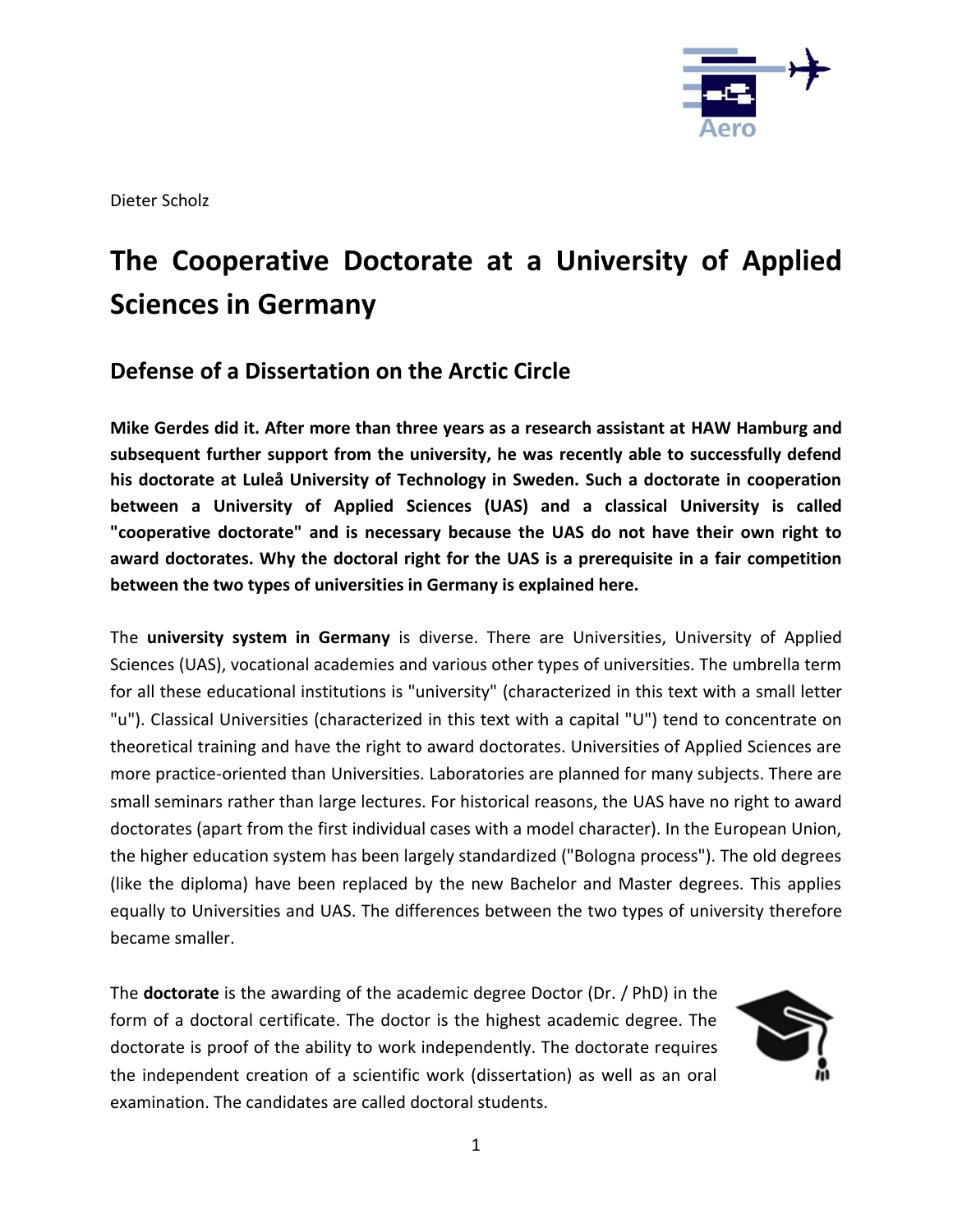

Dieter Scholz

# **The Cooperative Doctorate at a University of Applied Sciences in Germany**

# **Defense of a Dissertation on the Arctic Circle**

**Mike Gerdes did it. After more than three years as a research assistant at HAW Hamburg and subsequent further support from the university, he was recently able to successfully defend his doctorate at Luleå University of Technology in Sweden. Such a doctorate in cooperation between a University of Applied Sciences (UAS) and a classical University is called "cooperative doctorate" and is necessary because the UAS do not have their own right to award doctorates. Why the doctoral right for the UAS is a prerequisite in a fair competition between the two types of universities in Germany is explained here.** 

The **university system in Germany** is diverse. There are Universities, University of Applied Sciences (UAS), vocational academies and various other types of universities. The umbrella term for all these educational institutions is "university" (characterized in this text with a small letter "u"). Classical Universities (characterized in this text with a capital "U") tend to concentrate on theoretical training and have the right to award doctorates. Universities of Applied Sciences are more practice-oriented than Universities. Laboratories are planned for many subjects. There are small seminars rather than large lectures. For historical reasons, the UAS have no right to award doctorates (apart from the first individual cases with a model character). In the European Union, the higher education system has been largely standardized ("Bologna process"). The old degrees (like the diploma) have been replaced by the new Bachelor and Master degrees. This applies equally to Universities and UAS. The differences between the two types of university therefore became smaller.

The **doctorate** is the awarding of the academic degree Doctor (Dr. / PhD) in the form of a doctoral certificate. The doctor is the highest academic degree. The doctorate is proof of the ability to work independently. The doctorate requires the independent creation of a scientific work (dissertation) as well as an oral examination. The candidates are called doctoral students.

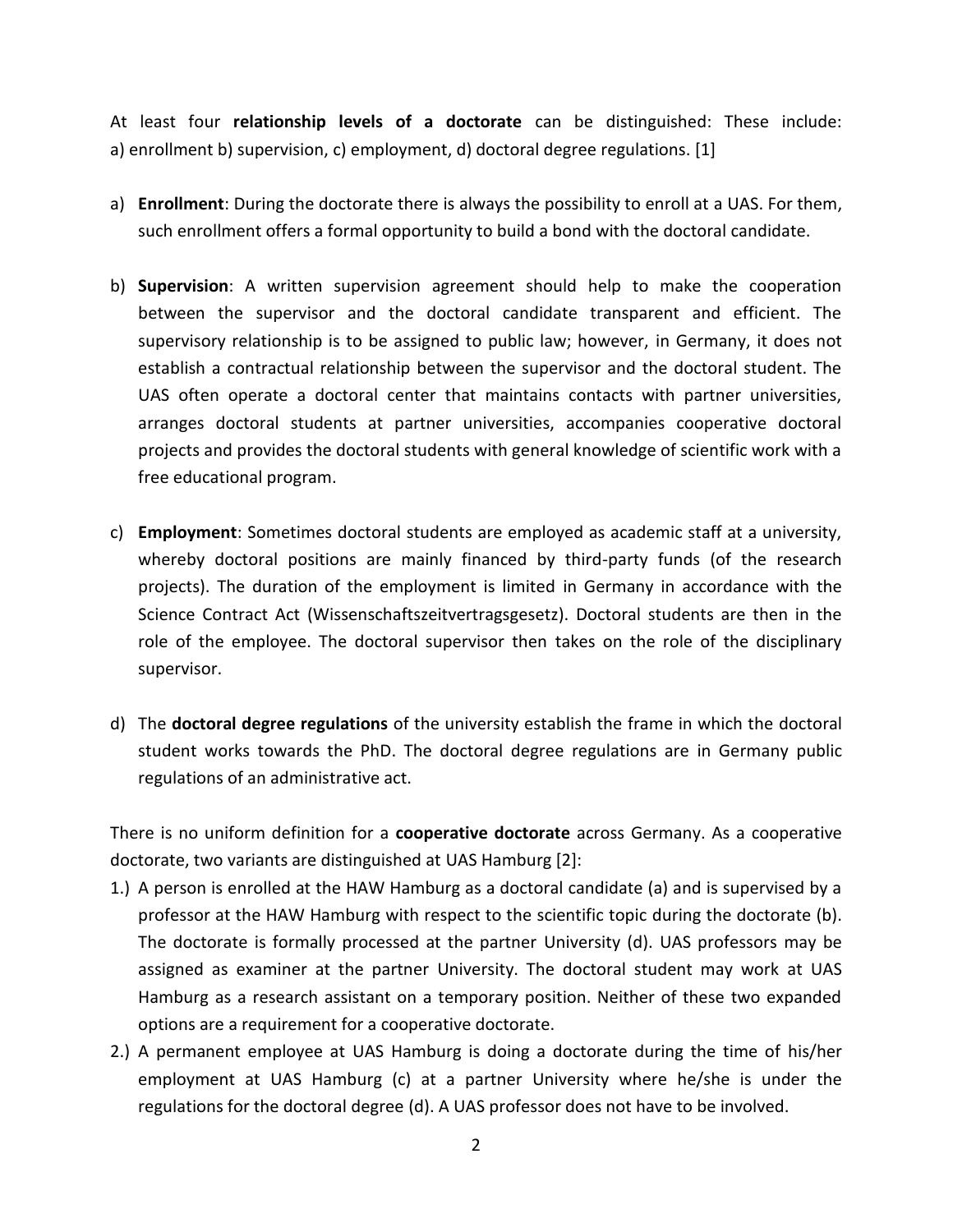At least four **relationship levels of a doctorate** can be distinguished: These include: a) enrollment b) supervision, c) employment, d) doctoral degree regulations. [1]

- a) **Enrollment**: During the doctorate there is always the possibility to enroll at a UAS. For them, such enrollment offers a formal opportunity to build a bond with the doctoral candidate.
- b) **Supervision**: A written supervision agreement should help to make the cooperation between the supervisor and the doctoral candidate transparent and efficient. The supervisory relationship is to be assigned to public law; however, in Germany, it does not establish a contractual relationship between the supervisor and the doctoral student. The UAS often operate a doctoral center that maintains contacts with partner universities, arranges doctoral students at partner universities, accompanies cooperative doctoral projects and provides the doctoral students with general knowledge of scientific work with a free educational program.
- c) **Employment**: Sometimes doctoral students are employed as academic staff at a university, whereby doctoral positions are mainly financed by third-party funds (of the research projects). The duration of the employment is limited in Germany in accordance with the Science Contract Act (Wissenschaftszeitvertragsgesetz). Doctoral students are then in the role of the employee. The doctoral supervisor then takes on the role of the disciplinary supervisor.
- d) The **doctoral degree regulations** of the university establish the frame in which the doctoral student works towards the PhD. The doctoral degree regulations are in Germany public regulations of an administrative act.

There is no uniform definition for a **cooperative doctorate** across Germany. As a cooperative doctorate, two variants are distinguished at UAS Hamburg [2]:

- 1.) A person is enrolled at the HAW Hamburg as a doctoral candidate (a) and is supervised by a professor at the HAW Hamburg with respect to the scientific topic during the doctorate (b). The doctorate is formally processed at the partner University (d). UAS professors may be assigned as examiner at the partner University. The doctoral student may work at UAS Hamburg as a research assistant on a temporary position. Neither of these two expanded options are a requirement for a cooperative doctorate.
- 2.) A permanent employee at UAS Hamburg is doing a doctorate during the time of his/her employment at UAS Hamburg (c) at a partner University where he/she is under the regulations for the doctoral degree (d). A UAS professor does not have to be involved.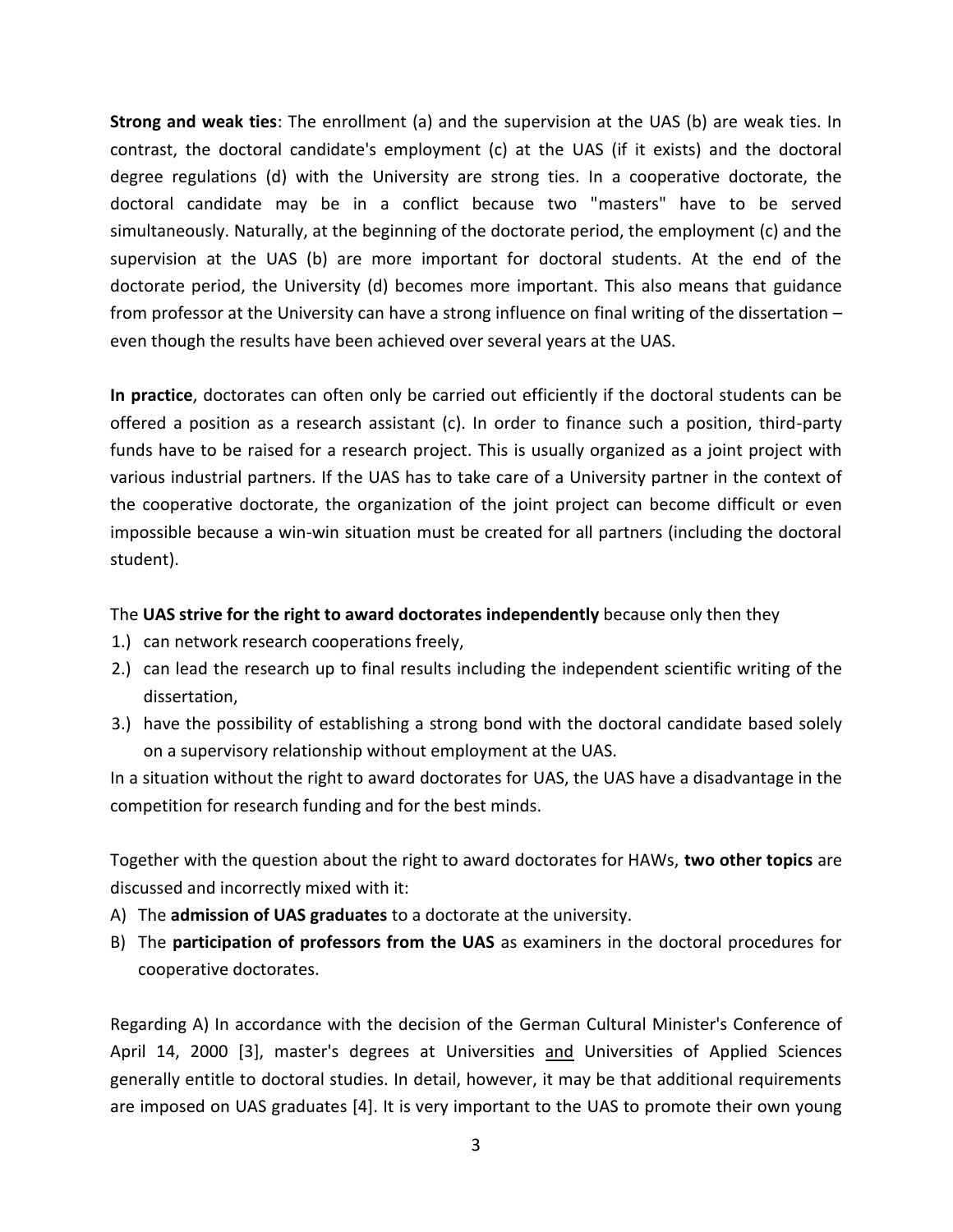**Strong and weak ties**: The enrollment (a) and the supervision at the UAS (b) are weak ties. In contrast, the doctoral candidate's employment (c) at the UAS (if it exists) and the doctoral degree regulations (d) with the University are strong ties. In a cooperative doctorate, the doctoral candidate may be in a conflict because two "masters" have to be served simultaneously. Naturally, at the beginning of the doctorate period, the employment (c) and the supervision at the UAS (b) are more important for doctoral students. At the end of the doctorate period, the University (d) becomes more important. This also means that guidance from professor at the University can have a strong influence on final writing of the dissertation – even though the results have been achieved over several years at the UAS.

**In practice**, doctorates can often only be carried out efficiently if the doctoral students can be offered a position as a research assistant (c). In order to finance such a position, third-party funds have to be raised for a research project. This is usually organized as a joint project with various industrial partners. If the UAS has to take care of a University partner in the context of the cooperative doctorate, the organization of the joint project can become difficult or even impossible because a win-win situation must be created for all partners (including the doctoral student).

## The **UAS strive for the right to award doctorates independently** because only then they

- 1.) can network research cooperations freely,
- 2.) can lead the research up to final results including the independent scientific writing of the dissertation,
- 3.) have the possibility of establishing a strong bond with the doctoral candidate based solely on a supervisory relationship without employment at the UAS.

In a situation without the right to award doctorates for UAS, the UAS have a disadvantage in the competition for research funding and for the best minds.

Together with the question about the right to award doctorates for HAWs, **two other topics** are discussed and incorrectly mixed with it:

- A) The **admission of UAS graduates** to a doctorate at the university.
- B) The **participation of professors from the UAS** as examiners in the doctoral procedures for cooperative doctorates.

Regarding A) In accordance with the decision of the German Cultural Minister's Conference of April 14, 2000 [3], master's degrees at Universities and Universities of Applied Sciences generally entitle to doctoral studies. In detail, however, it may be that additional requirements are imposed on UAS graduates [4]. It is very important to the UAS to promote their own young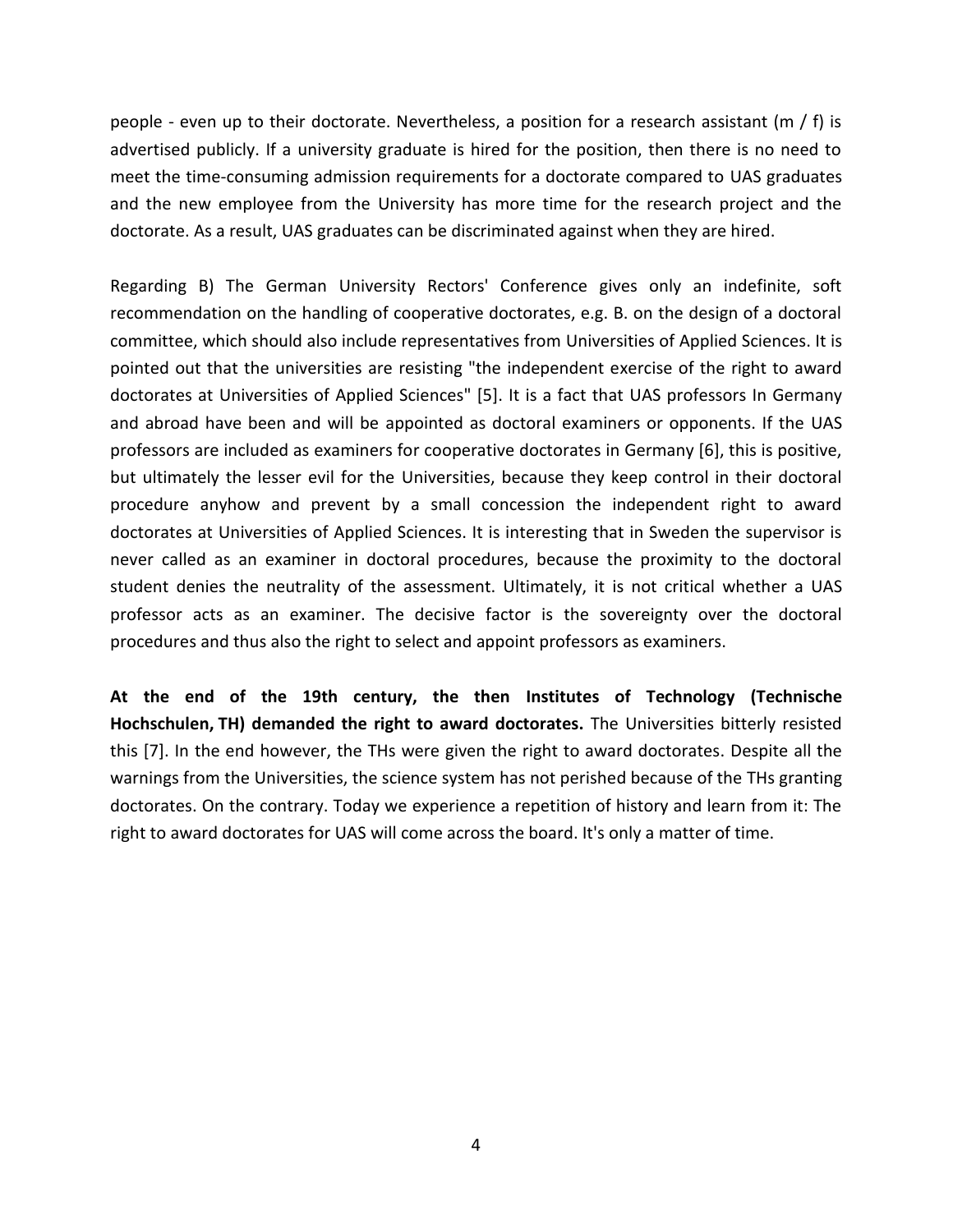people - even up to their doctorate. Nevertheless, a position for a research assistant ( $m / f$ ) is advertised publicly. If a university graduate is hired for the position, then there is no need to meet the time-consuming admission requirements for a doctorate compared to UAS graduates and the new employee from the University has more time for the research project and the doctorate. As a result, UAS graduates can be discriminated against when they are hired.

Regarding B) The German University Rectors' Conference gives only an indefinite, soft recommendation on the handling of cooperative doctorates, e.g. B. on the design of a doctoral committee, which should also include representatives from Universities of Applied Sciences. It is pointed out that the universities are resisting "the independent exercise of the right to award doctorates at Universities of Applied Sciences" [5]. It is a fact that UAS professors In Germany and abroad have been and will be appointed as doctoral examiners or opponents. If the UAS professors are included as examiners for cooperative doctorates in Germany [6], this is positive, but ultimately the lesser evil for the Universities, because they keep control in their doctoral procedure anyhow and prevent by a small concession the independent right to award doctorates at Universities of Applied Sciences. It is interesting that in Sweden the supervisor is never called as an examiner in doctoral procedures, because the proximity to the doctoral student denies the neutrality of the assessment. Ultimately, it is not critical whether a UAS professor acts as an examiner. The decisive factor is the sovereignty over the doctoral procedures and thus also the right to select and appoint professors as examiners.

**At the end of the 19th century, the then Institutes of Technology (Technische Hochschulen, TH) demanded the right to award doctorates.** The Universities bitterly resisted this [7]. In the end however, the THs were given the right to award doctorates. Despite all the warnings from the Universities, the science system has not perished because of the THs granting doctorates. On the contrary. Today we experience a repetition of history and learn from it: The right to award doctorates for UAS will come across the board. It's only a matter of time.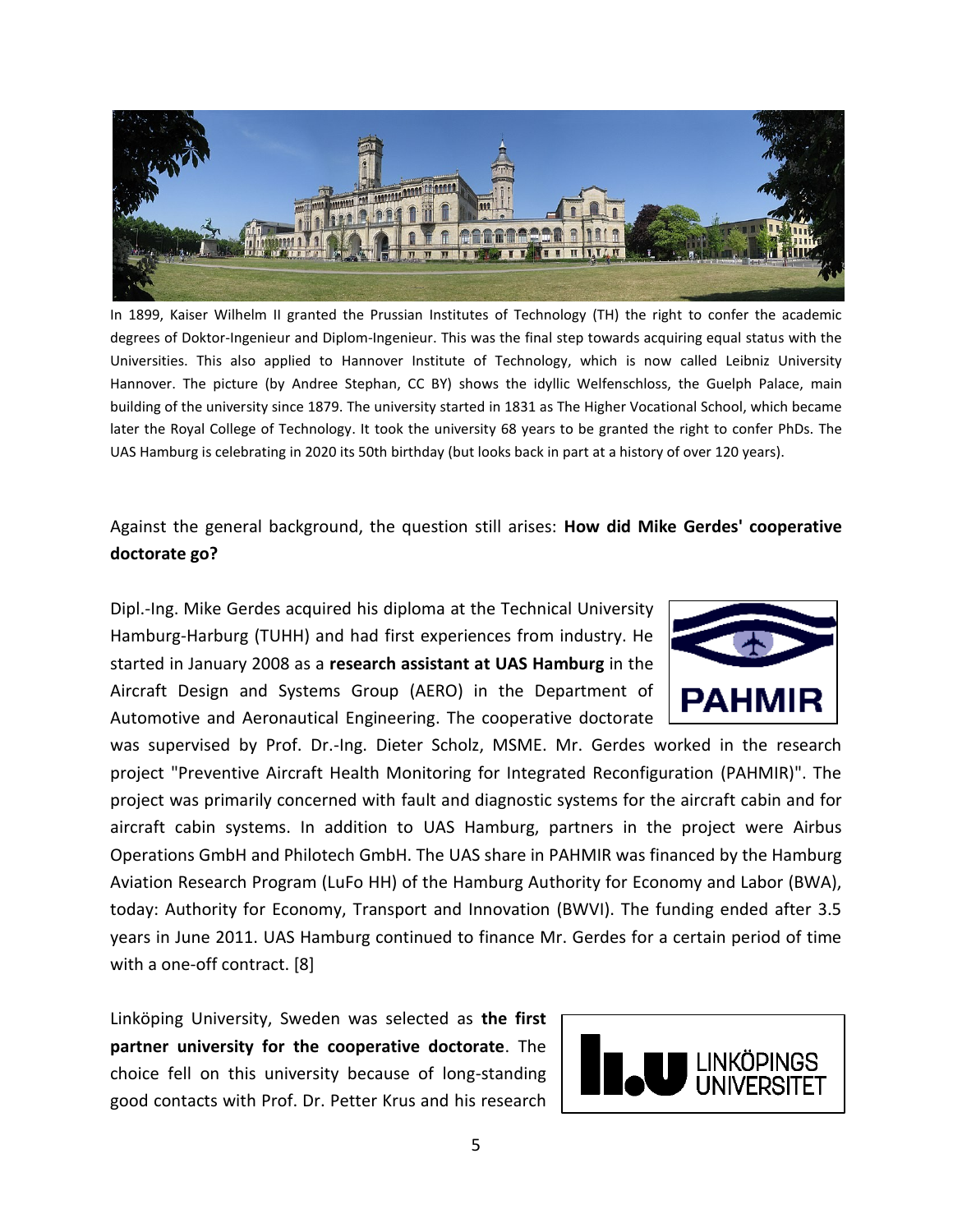

In 1899, Kaiser Wilhelm II granted the Prussian Institutes of Technology (TH) the right to confer the academic degrees of Doktor-Ingenieur and Diplom-Ingenieur. This was the final step towards acquiring equal status with the Universities. This also applied to Hannover Institute of Technology, which is now called Leibniz University Hannover. The picture (by Andree Stephan, CC BY) shows the idyllic Welfenschloss, the Guelph Palace, main building of the university since 1879. The university started in 1831 as The Higher Vocational School, which became later the Royal College of Technology. It took the university 68 years to be granted the right to confer PhDs. The UAS Hamburg is celebrating in 2020 its 50th birthday (but looks back in part at a history of over 120 years).

Against the general background, the question still arises: **How did Mike Gerdes' cooperative doctorate go?**

Dipl.-Ing. Mike Gerdes acquired his diploma at the Technical University Hamburg-Harburg (TUHH) and had first experiences from industry. He started in January 2008 as a **research assistant at UAS Hamburg** in the Aircraft Design and Systems Group (AERO) in the Department of Automotive and Aeronautical Engineering. The cooperative doctorate

was supervised by Prof. Dr.-Ing. Dieter Scholz, MSME. Mr. Gerdes worked in the research project "Preventive Aircraft Health Monitoring for Integrated Reconfiguration (PAHMIR)". The project was primarily concerned with fault and diagnostic systems for the aircraft cabin and for aircraft cabin systems. In addition to UAS Hamburg, partners in the project were Airbus Operations GmbH and Philotech GmbH. The UAS share in PAHMIR was financed by the Hamburg Aviation Research Program (LuFo HH) of the Hamburg Authority for Economy and Labor (BWA), today: Authority for Economy, Transport and Innovation (BWVI). The funding ended after 3.5 years in June 2011. UAS Hamburg continued to finance Mr. Gerdes for a certain period of time with a one-off contract. [8]

Linköping University, Sweden was selected as **the first partner university for the cooperative doctorate**. The choice fell on this university because of long-standing good contacts with Prof. Dr. Petter Krus and his research



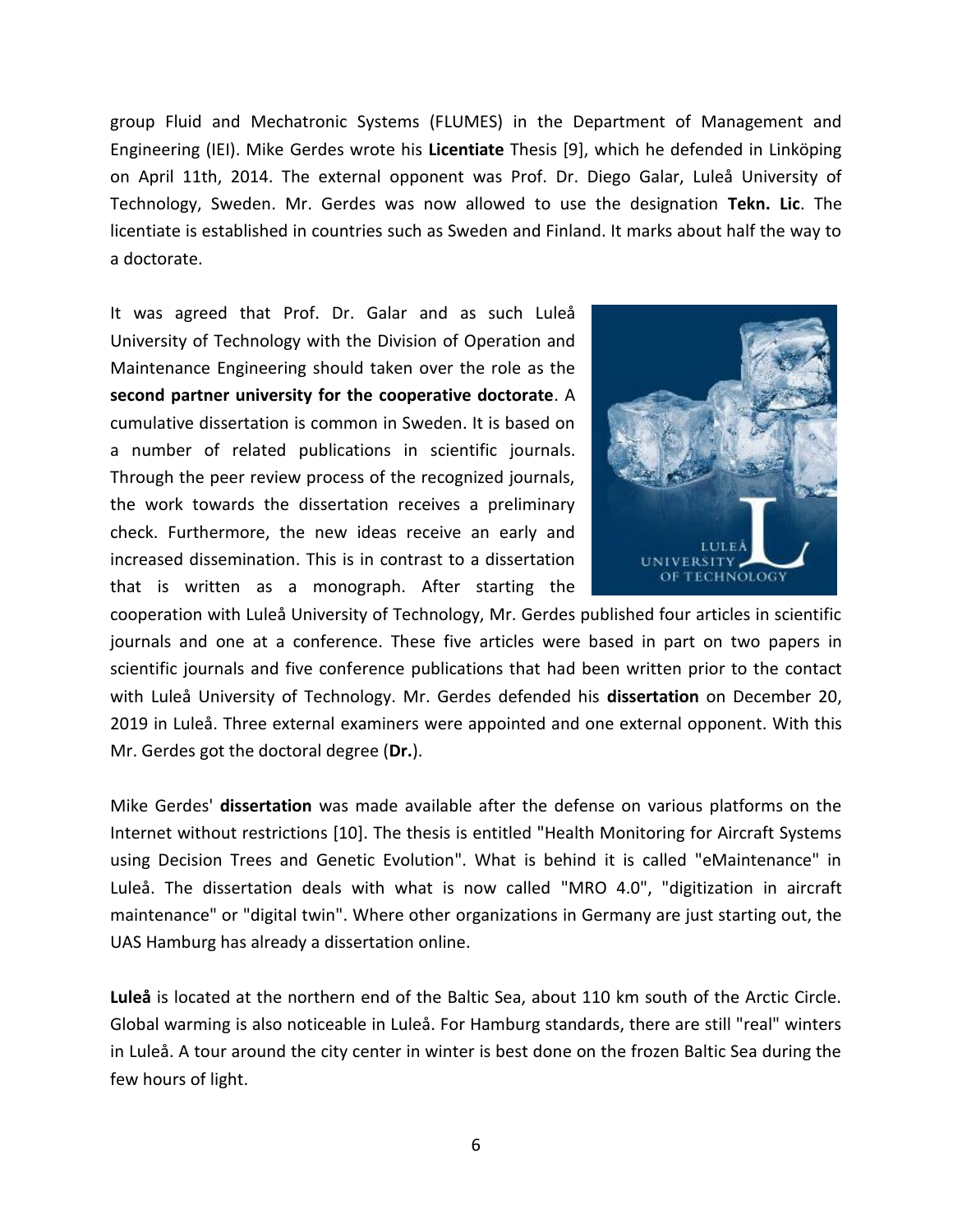group Fluid and Mechatronic Systems (FLUMES) in the Department of Management and Engineering (IEI). Mike Gerdes wrote his **Licentiate** Thesis [9], which he defended in Linköping on April 11th, 2014. The external opponent was Prof. Dr. Diego Galar, Luleå University of Technology, Sweden. Mr. Gerdes was now allowed to use the designation **Tekn. Lic**. The licentiate is established in countries such as Sweden and Finland. It marks about half the way to a doctorate.

It was agreed that Prof. Dr. Galar and as such Luleå University of Technology with the Division of Operation and Maintenance Engineering should taken over the role as the **second partner university for the cooperative doctorate**. A cumulative dissertation is common in Sweden. It is based on a number of related publications in scientific journals. Through the peer review process of the recognized journals, the work towards the dissertation receives a preliminary check. Furthermore, the new ideas receive an early and increased dissemination. This is in contrast to a dissertation that is written as a monograph. After starting the



cooperation with Luleå University of Technology, Mr. Gerdes published four articles in scientific journals and one at a conference. These five articles were based in part on two papers in scientific journals and five conference publications that had been written prior to the contact with Luleå University of Technology. Mr. Gerdes defended his **dissertation** on December 20, 2019 in Luleå. Three external examiners were appointed and one external opponent. With this Mr. Gerdes got the doctoral degree (**Dr.**).

Mike Gerdes' **dissertation** was made available after the defense on various platforms on the Internet without restrictions [10]. The thesis is entitled "Health Monitoring for Aircraft Systems using Decision Trees and Genetic Evolution". What is behind it is called "eMaintenance" in Luleå. The dissertation deals with what is now called "MRO 4.0", "digitization in aircraft maintenance" or "digital twin". Where other organizations in Germany are just starting out, the UAS Hamburg has already a dissertation online.

**Luleå** is located at the northern end of the Baltic Sea, about 110 km south of the Arctic Circle. Global warming is also noticeable in Luleå. For Hamburg standards, there are still "real" winters in Luleå. A tour around the city center in winter is best done on the frozen Baltic Sea during the few hours of light.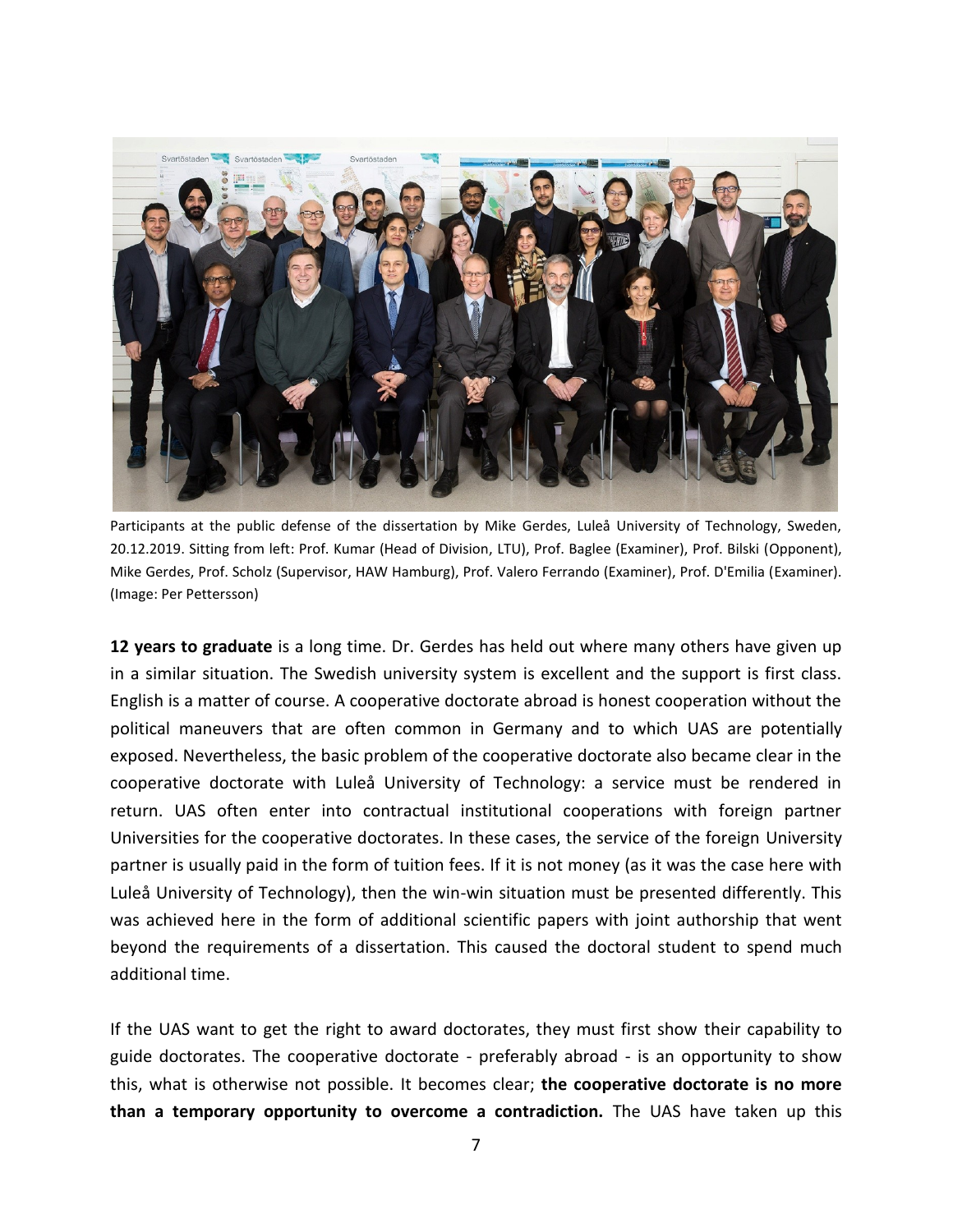

Participants at the public defense of the dissertation by Mike Gerdes, Luleå University of Technology, Sweden, 20.12.2019. Sitting from left: Prof. Kumar (Head of Division, LTU), Prof. Baglee (Examiner), Prof. Bilski (Opponent), Mike Gerdes, Prof. Scholz (Supervisor, HAW Hamburg), Prof. Valero Ferrando (Examiner), Prof. D'Emilia (Examiner). (Image: Per Pettersson)

**12 years to graduate** is a long time. Dr. Gerdes has held out where many others have given up in a similar situation. The Swedish university system is excellent and the support is first class. English is a matter of course. A cooperative doctorate abroad is honest cooperation without the political maneuvers that are often common in Germany and to which UAS are potentially exposed. Nevertheless, the basic problem of the cooperative doctorate also became clear in the cooperative doctorate with Luleå University of Technology: a service must be rendered in return. UAS often enter into contractual institutional cooperations with foreign partner Universities for the cooperative doctorates. In these cases, the service of the foreign University partner is usually paid in the form of tuition fees. If it is not money (as it was the case here with Luleå University of Technology), then the win-win situation must be presented differently. This was achieved here in the form of additional scientific papers with joint authorship that went beyond the requirements of a dissertation. This caused the doctoral student to spend much additional time.

If the UAS want to get the right to award doctorates, they must first show their capability to guide doctorates. The cooperative doctorate - preferably abroad - is an opportunity to show this, what is otherwise not possible. It becomes clear; **the cooperative doctorate is no more than a temporary opportunity to overcome a contradiction.** The UAS have taken up this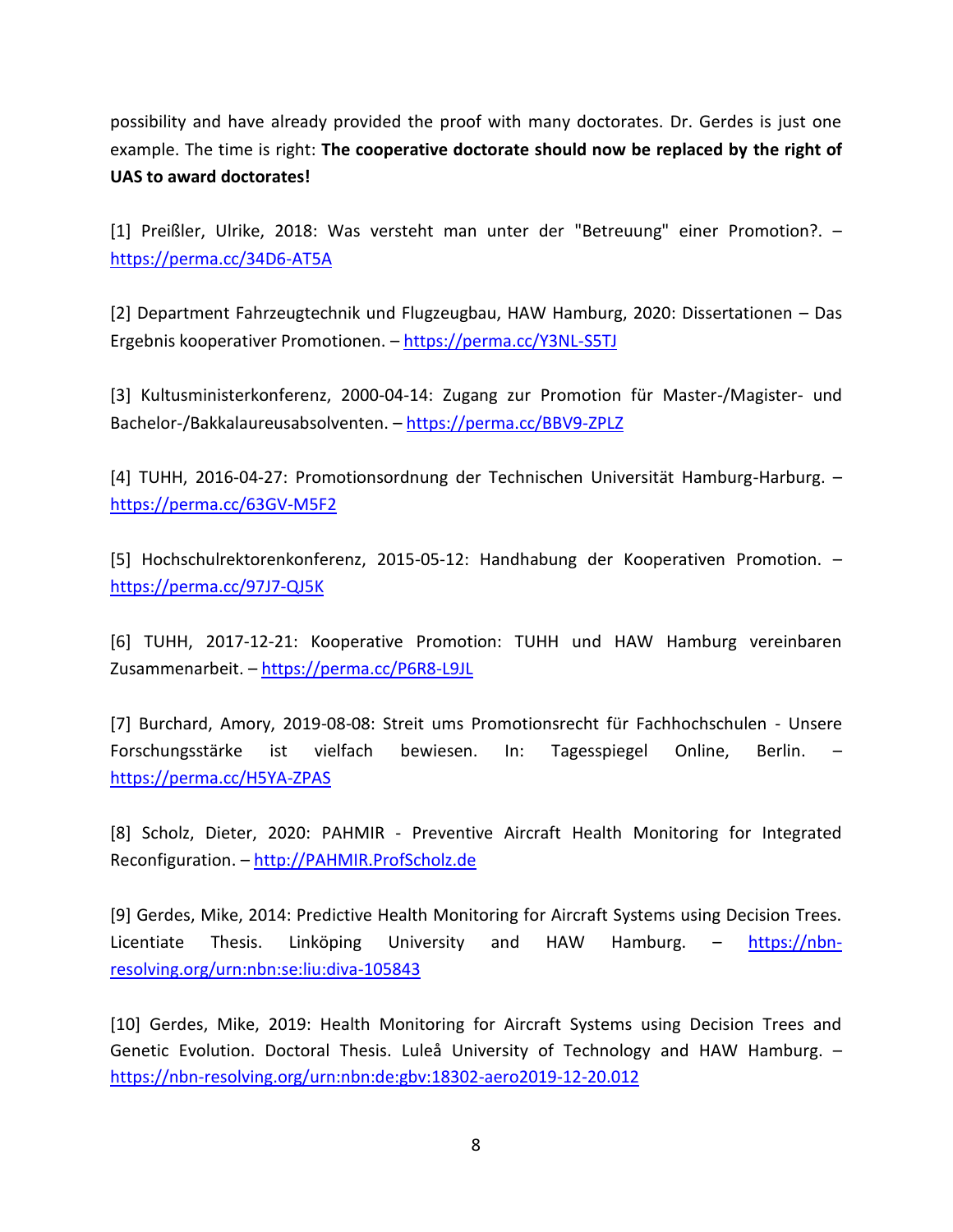possibility and have already provided the proof with many doctorates. Dr. Gerdes is just one example. The time is right: **The cooperative doctorate should now be replaced by the right of UAS to award doctorates!** 

[1] Preißler, Ulrike, 2018: Was versteht man unter der "Betreuung" einer Promotion?. – <https://perma.cc/34D6-AT5A>

[2] Department Fahrzeugtechnik und Flugzeugbau, HAW Hamburg, 2020: Dissertationen – Das Ergebnis kooperativer Promotionen. – <https://perma.cc/Y3NL-S5TJ>

[3] Kultusministerkonferenz, 2000-04-14: Zugang zur Promotion für Master-/Magister- und Bachelor-/Bakkalaureusabsolventen. – <https://perma.cc/BBV9-ZPLZ>

[4] TUHH, 2016-04-27: Promotionsordnung der Technischen Universität Hamburg-Harburg. – <https://perma.cc/63GV-M5F2>

[5] Hochschulrektorenkonferenz, 2015-05-12: Handhabung der Kooperativen Promotion. – <https://perma.cc/97J7-QJ5K>

[6] TUHH, 2017-12-21: Kooperative Promotion: TUHH und HAW Hamburg vereinbaren Zusammenarbeit. – <https://perma.cc/P6R8-L9JL>

[7] Burchard, Amory, 2019-08-08: Streit ums Promotionsrecht für Fachhochschulen - Unsere Forschungsstärke ist vielfach bewiesen. In: Tagesspiegel Online, Berlin. – <https://perma.cc/H5YA-ZPAS>

[8] Scholz, Dieter, 2020: PAHMIR - Preventive Aircraft Health Monitoring for Integrated Reconfiguration. – [http://PAHMIR.ProfScholz.de](http://pahmir.profscholz.de/)

[9] Gerdes, Mike, 2014: Predictive Health Monitoring for Aircraft Systems using Decision Trees. Licentiate Thesis. Linköping University and HAW Hamburg. – [https://nbn](https://nbn-resolving.org/urn:nbn:se:liu:diva-105843)[resolving.org/urn:nbn:se:liu:diva-105843](https://nbn-resolving.org/urn:nbn:se:liu:diva-105843)

[10] Gerdes, Mike, 2019: Health Monitoring for Aircraft Systems using Decision Trees and Genetic Evolution. Doctoral Thesis. Luleå University of Technology and HAW Hamburg. – <https://nbn-resolving.org/urn:nbn:de:gbv:18302-aero2019-12-20.012>